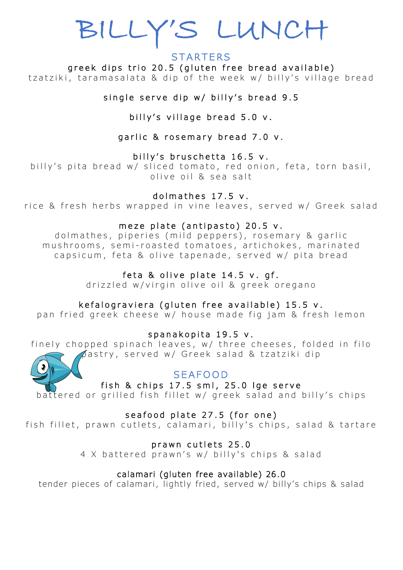# BILLY'S LUNCH

# **STARTERS**

greek dips trio 20.5 (gluten free bread available) tzatziki, taramasalata & dip of the week w/ billy's village bread

single serve dip w/ billy's bread 9.5

billy's village bread 5.0 v.

garlic & rosemary bread 7.0 v.

billy's bruschetta  $16.5 v$ .

billy's pita bread w/ sliced tomato, red onion, feta, torn basil, olive oil & sea salt

# dolmathes 17.5 v.

rice & fresh herbs wrapped in vine leaves, served w/ Greek salad

#### meze plate (antipasto) 20.5 v.

dolmathes, piperies (mild peppers), rosemary & garlic mushrooms, semi-roasted tomatoes, artichokes, marinated capsicum, feta & olive tapenade, served w/ pita bread

# feta & olive plate 14.5 v. gf.

drizzled w/virgin olive oil & greek oregano

## kefalograviera (gluten free available) 15.5 v.

pan fried greek cheese w/ house made fig jam & fresh lemon

spanakopita 19.5 v.

finely chopped spinach leaves, w/ three cheeses, folded in filo pastry, served w/ G reek salad & tzatziki dip



# SEAFOOD

fish & chips  $17.5$  sml,  $25.0$  lge serve

battered or grilled fish fillet w/ greek salad and billy's chips

seafood plate 27.5 (for one)

fish fillet, prawn cutlets, calamari, billy's chips, salad & tartare

prawn cutlets 25.0

4 X battered prawn's w/ billy's chips & salad

## calamari (gluten free available) 26.0

tender pieces of calamari, lightly fried, served w/ billy's chips & salad